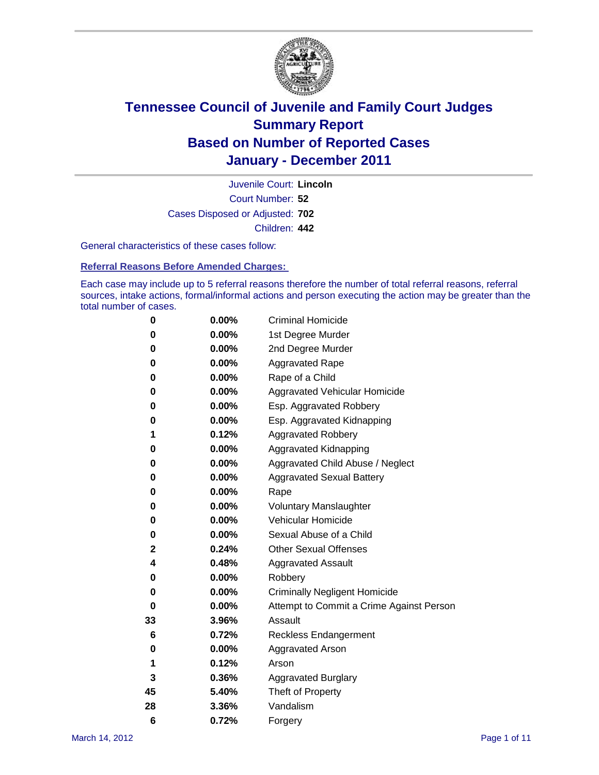

Court Number: **52** Juvenile Court: **Lincoln** Cases Disposed or Adjusted: **702** Children: **442**

General characteristics of these cases follow:

**Referral Reasons Before Amended Charges:** 

Each case may include up to 5 referral reasons therefore the number of total referral reasons, referral sources, intake actions, formal/informal actions and person executing the action may be greater than the total number of cases.

| 0  | 0.00%    | <b>Criminal Homicide</b>                 |
|----|----------|------------------------------------------|
| 0  | 0.00%    | 1st Degree Murder                        |
| 0  | 0.00%    | 2nd Degree Murder                        |
| 0  | 0.00%    | <b>Aggravated Rape</b>                   |
| 0  | 0.00%    | Rape of a Child                          |
| 0  | 0.00%    | Aggravated Vehicular Homicide            |
| 0  | 0.00%    | Esp. Aggravated Robbery                  |
| 0  | 0.00%    | Esp. Aggravated Kidnapping               |
| 1  | 0.12%    | <b>Aggravated Robbery</b>                |
| 0  | 0.00%    | Aggravated Kidnapping                    |
| 0  | 0.00%    | Aggravated Child Abuse / Neglect         |
| 0  | $0.00\%$ | <b>Aggravated Sexual Battery</b>         |
| 0  | 0.00%    | Rape                                     |
| 0  | 0.00%    | <b>Voluntary Manslaughter</b>            |
| 0  | 0.00%    | Vehicular Homicide                       |
| 0  | 0.00%    | Sexual Abuse of a Child                  |
| 2  | 0.24%    | <b>Other Sexual Offenses</b>             |
| 4  | 0.48%    | <b>Aggravated Assault</b>                |
| 0  | $0.00\%$ | Robbery                                  |
| 0  | 0.00%    | <b>Criminally Negligent Homicide</b>     |
| 0  | 0.00%    | Attempt to Commit a Crime Against Person |
| 33 | 3.96%    | Assault                                  |
| 6  | 0.72%    | <b>Reckless Endangerment</b>             |
| 0  | 0.00%    | <b>Aggravated Arson</b>                  |
| 1  | 0.12%    | Arson                                    |
| 3  | 0.36%    | <b>Aggravated Burglary</b>               |
| 45 | 5.40%    | Theft of Property                        |
| 28 | 3.36%    | Vandalism                                |
| 6  | 0.72%    | Forgery                                  |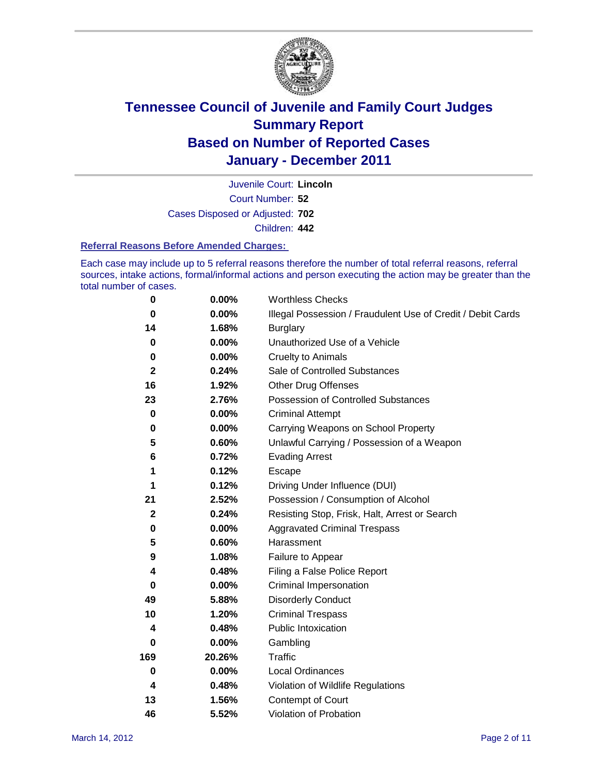

Court Number: **52** Juvenile Court: **Lincoln** Cases Disposed or Adjusted: **702** Children: **442**

#### **Referral Reasons Before Amended Charges:**

Each case may include up to 5 referral reasons therefore the number of total referral reasons, referral sources, intake actions, formal/informal actions and person executing the action may be greater than the total number of cases.

| 0            | 0.00%    | <b>Worthless Checks</b>                                     |
|--------------|----------|-------------------------------------------------------------|
| 0            | 0.00%    | Illegal Possession / Fraudulent Use of Credit / Debit Cards |
| 14           | 1.68%    | <b>Burglary</b>                                             |
| $\bf{0}$     | $0.00\%$ | Unauthorized Use of a Vehicle                               |
| 0            | $0.00\%$ | <b>Cruelty to Animals</b>                                   |
| $\mathbf{2}$ | 0.24%    | Sale of Controlled Substances                               |
| 16           | 1.92%    | <b>Other Drug Offenses</b>                                  |
| 23           | 2.76%    | Possession of Controlled Substances                         |
| $\mathbf 0$  | $0.00\%$ | <b>Criminal Attempt</b>                                     |
| 0            | 0.00%    | Carrying Weapons on School Property                         |
| 5            | 0.60%    | Unlawful Carrying / Possession of a Weapon                  |
| 6            | 0.72%    | <b>Evading Arrest</b>                                       |
| 1            | 0.12%    | Escape                                                      |
| 1            | 0.12%    | Driving Under Influence (DUI)                               |
| 21           | 2.52%    | Possession / Consumption of Alcohol                         |
| $\mathbf 2$  | 0.24%    | Resisting Stop, Frisk, Halt, Arrest or Search               |
| 0            | $0.00\%$ | <b>Aggravated Criminal Trespass</b>                         |
| 5            | 0.60%    | Harassment                                                  |
| 9            | 1.08%    | Failure to Appear                                           |
| 4            | 0.48%    | Filing a False Police Report                                |
| $\bf{0}$     | 0.00%    | Criminal Impersonation                                      |
| 49           | 5.88%    | <b>Disorderly Conduct</b>                                   |
| 10           | 1.20%    | <b>Criminal Trespass</b>                                    |
| 4            | 0.48%    | <b>Public Intoxication</b>                                  |
| 0            | $0.00\%$ | Gambling                                                    |
| 169          | 20.26%   | <b>Traffic</b>                                              |
| 0            | $0.00\%$ | Local Ordinances                                            |
| 4            | 0.48%    | Violation of Wildlife Regulations                           |
| 13           | 1.56%    | Contempt of Court                                           |
| 46           | 5.52%    | Violation of Probation                                      |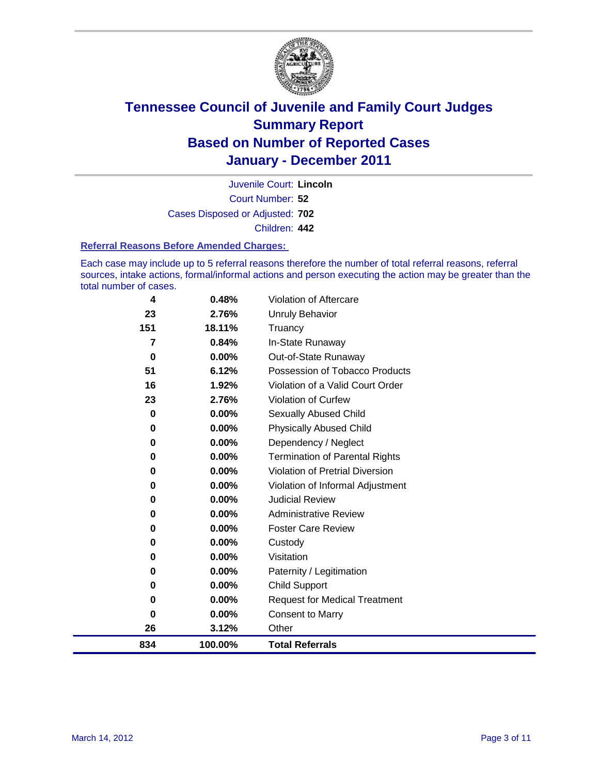

Court Number: **52** Juvenile Court: **Lincoln** Cases Disposed or Adjusted: **702** Children: **442**

#### **Referral Reasons Before Amended Charges:**

Each case may include up to 5 referral reasons therefore the number of total referral reasons, referral sources, intake actions, formal/informal actions and person executing the action may be greater than the total number of cases.

| 4        | 0.48%    | <b>Violation of Aftercare</b>          |
|----------|----------|----------------------------------------|
| 23       | 2.76%    | <b>Unruly Behavior</b>                 |
| 151      | 18.11%   | Truancy                                |
| 7        | 0.84%    | In-State Runaway                       |
| 0        | $0.00\%$ | Out-of-State Runaway                   |
| 51       | 6.12%    | Possession of Tobacco Products         |
| 16       | 1.92%    | Violation of a Valid Court Order       |
| 23       | 2.76%    | <b>Violation of Curfew</b>             |
| 0        | 0.00%    | <b>Sexually Abused Child</b>           |
| 0        | 0.00%    | <b>Physically Abused Child</b>         |
| 0        | 0.00%    | Dependency / Neglect                   |
| 0        | 0.00%    | <b>Termination of Parental Rights</b>  |
| 0        | 0.00%    | <b>Violation of Pretrial Diversion</b> |
| 0        | 0.00%    | Violation of Informal Adjustment       |
| 0        | $0.00\%$ | <b>Judicial Review</b>                 |
| 0        | 0.00%    | <b>Administrative Review</b>           |
| 0        | 0.00%    | <b>Foster Care Review</b>              |
| 0        | 0.00%    | Custody                                |
| 0        | 0.00%    | Visitation                             |
| 0        | 0.00%    | Paternity / Legitimation               |
| 0        | 0.00%    | <b>Child Support</b>                   |
| 0        | 0.00%    | <b>Request for Medical Treatment</b>   |
| $\bf{0}$ | 0.00%    | <b>Consent to Marry</b>                |
| 26       | 3.12%    | Other                                  |
| 834      | 100.00%  | <b>Total Referrals</b>                 |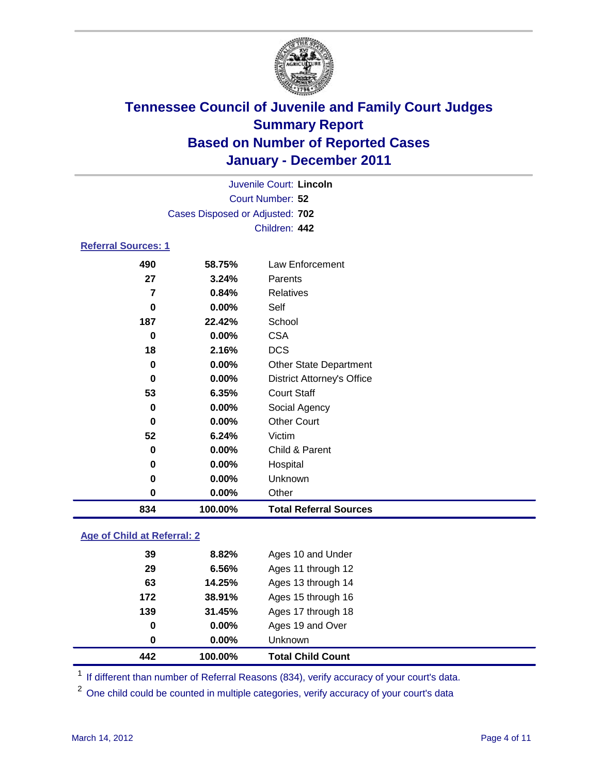

| Court Number: 52<br>Cases Disposed or Adjusted: 702<br>Children: 442<br><b>Referral Sources: 1</b><br>490<br>Law Enforcement<br>58.75%<br>27<br>3.24%<br>Parents<br><b>Relatives</b><br>7<br>0.84%<br>0.00%<br>Self<br>0<br>187<br>22.42%<br>School<br><b>CSA</b><br>0.00%<br>0<br><b>DCS</b><br>2.16%<br>18<br>0.00%<br><b>Other State Department</b><br>0<br>0.00%<br><b>District Attorney's Office</b><br>0<br><b>Court Staff</b><br>53<br>6.35%<br>0.00%<br>Social Agency<br>0<br><b>Other Court</b><br>0.00%<br>0<br>52<br>6.24%<br>Victim<br>Child & Parent<br>0.00%<br>0<br>0.00%<br>Hospital<br>0<br>0.00%<br>Unknown<br>0<br>0<br>0.00%<br>Other<br>834<br>100.00%<br><b>Total Referral Sources</b> |  | Juvenile Court: Lincoln |  |
|--------------------------------------------------------------------------------------------------------------------------------------------------------------------------------------------------------------------------------------------------------------------------------------------------------------------------------------------------------------------------------------------------------------------------------------------------------------------------------------------------------------------------------------------------------------------------------------------------------------------------------------------------------------------------------------------------------------|--|-------------------------|--|
|                                                                                                                                                                                                                                                                                                                                                                                                                                                                                                                                                                                                                                                                                                              |  |                         |  |
|                                                                                                                                                                                                                                                                                                                                                                                                                                                                                                                                                                                                                                                                                                              |  |                         |  |
|                                                                                                                                                                                                                                                                                                                                                                                                                                                                                                                                                                                                                                                                                                              |  |                         |  |
|                                                                                                                                                                                                                                                                                                                                                                                                                                                                                                                                                                                                                                                                                                              |  |                         |  |
|                                                                                                                                                                                                                                                                                                                                                                                                                                                                                                                                                                                                                                                                                                              |  |                         |  |
|                                                                                                                                                                                                                                                                                                                                                                                                                                                                                                                                                                                                                                                                                                              |  |                         |  |
|                                                                                                                                                                                                                                                                                                                                                                                                                                                                                                                                                                                                                                                                                                              |  |                         |  |
|                                                                                                                                                                                                                                                                                                                                                                                                                                                                                                                                                                                                                                                                                                              |  |                         |  |
|                                                                                                                                                                                                                                                                                                                                                                                                                                                                                                                                                                                                                                                                                                              |  |                         |  |
|                                                                                                                                                                                                                                                                                                                                                                                                                                                                                                                                                                                                                                                                                                              |  |                         |  |
|                                                                                                                                                                                                                                                                                                                                                                                                                                                                                                                                                                                                                                                                                                              |  |                         |  |
|                                                                                                                                                                                                                                                                                                                                                                                                                                                                                                                                                                                                                                                                                                              |  |                         |  |
|                                                                                                                                                                                                                                                                                                                                                                                                                                                                                                                                                                                                                                                                                                              |  |                         |  |
|                                                                                                                                                                                                                                                                                                                                                                                                                                                                                                                                                                                                                                                                                                              |  |                         |  |
|                                                                                                                                                                                                                                                                                                                                                                                                                                                                                                                                                                                                                                                                                                              |  |                         |  |
|                                                                                                                                                                                                                                                                                                                                                                                                                                                                                                                                                                                                                                                                                                              |  |                         |  |
|                                                                                                                                                                                                                                                                                                                                                                                                                                                                                                                                                                                                                                                                                                              |  |                         |  |
|                                                                                                                                                                                                                                                                                                                                                                                                                                                                                                                                                                                                                                                                                                              |  |                         |  |
|                                                                                                                                                                                                                                                                                                                                                                                                                                                                                                                                                                                                                                                                                                              |  |                         |  |
|                                                                                                                                                                                                                                                                                                                                                                                                                                                                                                                                                                                                                                                                                                              |  |                         |  |
|                                                                                                                                                                                                                                                                                                                                                                                                                                                                                                                                                                                                                                                                                                              |  |                         |  |
|                                                                                                                                                                                                                                                                                                                                                                                                                                                                                                                                                                                                                                                                                                              |  |                         |  |

### **Age of Child at Referral: 2**

| 442 | 100.00%  | <b>Total Child Count</b> |
|-----|----------|--------------------------|
| 0   | $0.00\%$ | <b>Unknown</b>           |
| 0   | 0.00%    | Ages 19 and Over         |
| 139 | 31.45%   | Ages 17 through 18       |
| 172 | 38.91%   | Ages 15 through 16       |
| 63  | 14.25%   | Ages 13 through 14       |
| 29  | 6.56%    | Ages 11 through 12       |
| 39  | 8.82%    | Ages 10 and Under        |
|     |          |                          |

<sup>1</sup> If different than number of Referral Reasons (834), verify accuracy of your court's data.

<sup>2</sup> One child could be counted in multiple categories, verify accuracy of your court's data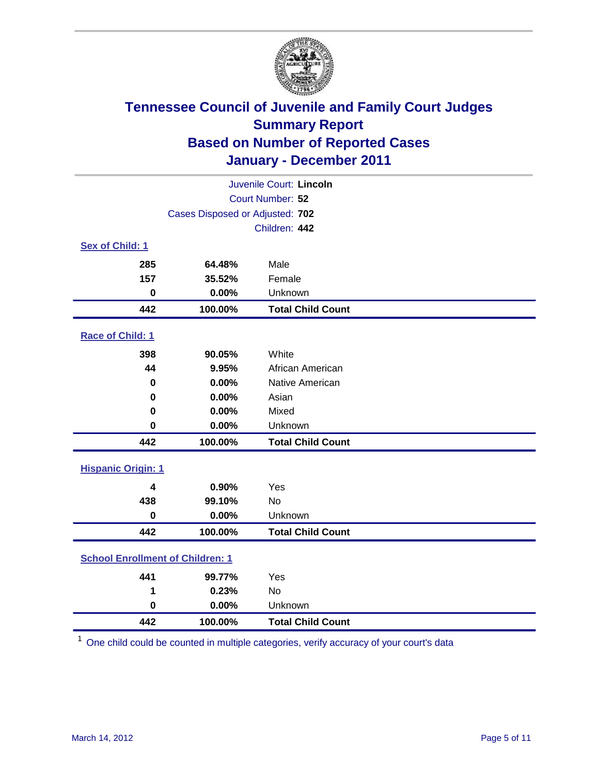

|                           | Juvenile Court: Lincoln                 |                          |  |  |
|---------------------------|-----------------------------------------|--------------------------|--|--|
|                           | Court Number: 52                        |                          |  |  |
|                           | Cases Disposed or Adjusted: 702         |                          |  |  |
|                           |                                         | Children: 442            |  |  |
| Sex of Child: 1           |                                         |                          |  |  |
| 285                       | 64.48%                                  | Male                     |  |  |
| 157                       | 35.52%                                  | Female                   |  |  |
| $\bf{0}$                  | 0.00%                                   | Unknown                  |  |  |
| 442                       | 100.00%                                 | <b>Total Child Count</b> |  |  |
| Race of Child: 1          |                                         |                          |  |  |
| 398                       | 90.05%                                  | White                    |  |  |
| 44                        | 9.95%                                   | African American         |  |  |
| 0                         | 0.00%                                   | Native American          |  |  |
| 0                         | 0.00%                                   | Asian                    |  |  |
| 0                         | 0.00%                                   | Mixed                    |  |  |
| $\mathbf 0$               | 0.00%                                   | Unknown                  |  |  |
| 442                       | 100.00%                                 | <b>Total Child Count</b> |  |  |
| <b>Hispanic Origin: 1</b> |                                         |                          |  |  |
| 4                         | 0.90%                                   | Yes                      |  |  |
| 438                       | 99.10%                                  | <b>No</b>                |  |  |
| $\mathbf 0$               | 0.00%                                   | Unknown                  |  |  |
| 442                       | 100.00%                                 | <b>Total Child Count</b> |  |  |
|                           | <b>School Enrollment of Children: 1</b> |                          |  |  |
| 441                       | 99.77%                                  | Yes                      |  |  |
| 1                         | 0.23%                                   | <b>No</b>                |  |  |
| $\bf{0}$                  | 0.00%                                   | Unknown                  |  |  |
| 442                       | 100.00%                                 | <b>Total Child Count</b> |  |  |

One child could be counted in multiple categories, verify accuracy of your court's data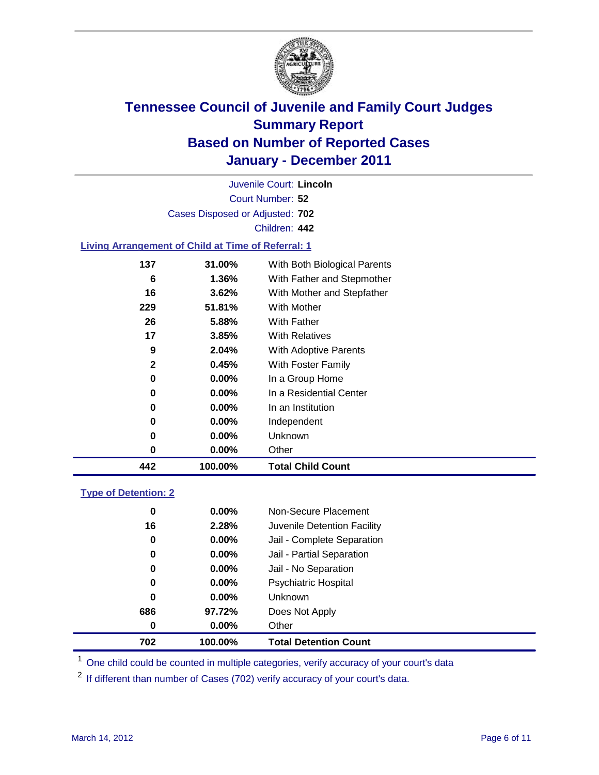

Court Number: **52** Juvenile Court: **Lincoln** Cases Disposed or Adjusted: **702** Children: **442**

### **Living Arrangement of Child at Time of Referral: 1**

| 442          | 100.00%  | <b>Total Child Count</b>     |
|--------------|----------|------------------------------|
| 0            | 0.00%    | Other                        |
| 0            | 0.00%    | Unknown                      |
| 0            | $0.00\%$ | Independent                  |
| 0            | 0.00%    | In an Institution            |
| 0            | $0.00\%$ | In a Residential Center      |
| 0            | 0.00%    | In a Group Home              |
| $\mathbf{2}$ | 0.45%    | With Foster Family           |
| 9            | 2.04%    | With Adoptive Parents        |
| 17           | $3.85\%$ | <b>With Relatives</b>        |
| 26           | 5.88%    | With Father                  |
| 229          | 51.81%   | With Mother                  |
| 16           | 3.62%    | With Mother and Stepfather   |
| 6            | 1.36%    | With Father and Stepmother   |
| 137          | 31.00%   | With Both Biological Parents |
|              |          |                              |

#### **Type of Detention: 2**

| 702      | 100.00%  | <b>Total Detention Count</b> |  |
|----------|----------|------------------------------|--|
| 0        | $0.00\%$ | Other                        |  |
| 686      | 97.72%   | Does Not Apply               |  |
| $\bf{0}$ | $0.00\%$ | Unknown                      |  |
| 0        | $0.00\%$ | <b>Psychiatric Hospital</b>  |  |
| 0        | 0.00%    | Jail - No Separation         |  |
| 0        | $0.00\%$ | Jail - Partial Separation    |  |
| 0        | 0.00%    | Jail - Complete Separation   |  |
| 16       | 2.28%    | Juvenile Detention Facility  |  |
| 0        | $0.00\%$ | Non-Secure Placement         |  |
|          |          |                              |  |

<sup>1</sup> One child could be counted in multiple categories, verify accuracy of your court's data

<sup>2</sup> If different than number of Cases (702) verify accuracy of your court's data.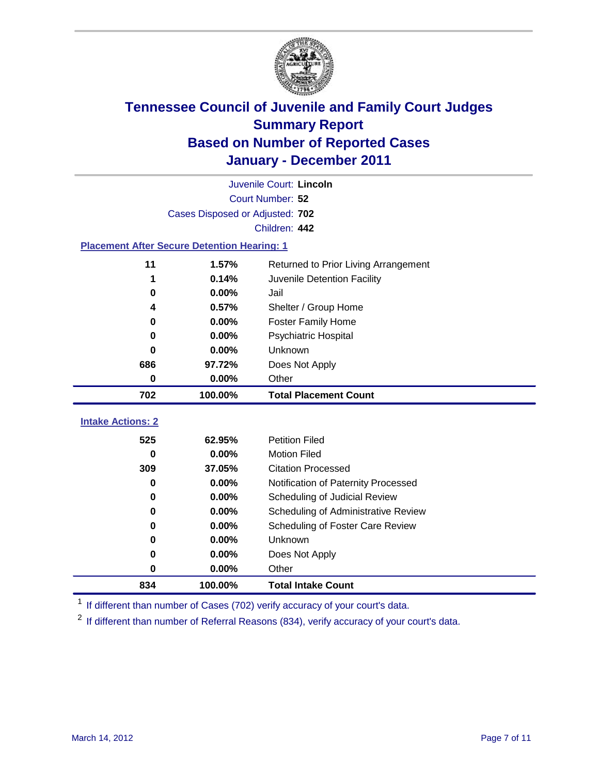

|                                                    | Juvenile Court: Lincoln         |                                      |  |  |
|----------------------------------------------------|---------------------------------|--------------------------------------|--|--|
|                                                    | Court Number: 52                |                                      |  |  |
|                                                    | Cases Disposed or Adjusted: 702 |                                      |  |  |
|                                                    |                                 | Children: 442                        |  |  |
| <b>Placement After Secure Detention Hearing: 1</b> |                                 |                                      |  |  |
| 11                                                 | 1.57%                           | Returned to Prior Living Arrangement |  |  |
| 1                                                  | 0.14%                           | Juvenile Detention Facility          |  |  |
| 0                                                  | 0.00%                           | Jail                                 |  |  |
| 4                                                  | 0.57%                           | Shelter / Group Home                 |  |  |
| 0                                                  | 0.00%                           | <b>Foster Family Home</b>            |  |  |
| 0                                                  | 0.00%                           | Psychiatric Hospital                 |  |  |
| 0                                                  | 0.00%                           | Unknown                              |  |  |
| 686                                                | 97.72%                          | Does Not Apply                       |  |  |
| $\mathbf 0$                                        | $0.00\%$                        | Other                                |  |  |
| 702                                                | 100.00%                         | <b>Total Placement Count</b>         |  |  |
| <b>Intake Actions: 2</b>                           |                                 |                                      |  |  |
|                                                    |                                 |                                      |  |  |
| 525                                                | 62.95%                          | <b>Petition Filed</b>                |  |  |
| 0                                                  | 0.00%                           | <b>Motion Filed</b>                  |  |  |
| 309                                                | 37.05%                          | <b>Citation Processed</b>            |  |  |
| 0                                                  | 0.00%                           | Notification of Paternity Processed  |  |  |
| $\mathbf 0$                                        | 0.00%                           | Scheduling of Judicial Review        |  |  |
| 0                                                  | 0.00%                           | Scheduling of Administrative Review  |  |  |
| 0                                                  | 0.00%                           | Scheduling of Foster Care Review     |  |  |
| 0                                                  | 0.00%                           | Unknown                              |  |  |
| 0                                                  | 0.00%                           | Does Not Apply                       |  |  |
| 0                                                  | 0.00%                           | Other                                |  |  |
| 834                                                | 100.00%                         | <b>Total Intake Count</b>            |  |  |

<sup>1</sup> If different than number of Cases (702) verify accuracy of your court's data.

<sup>2</sup> If different than number of Referral Reasons (834), verify accuracy of your court's data.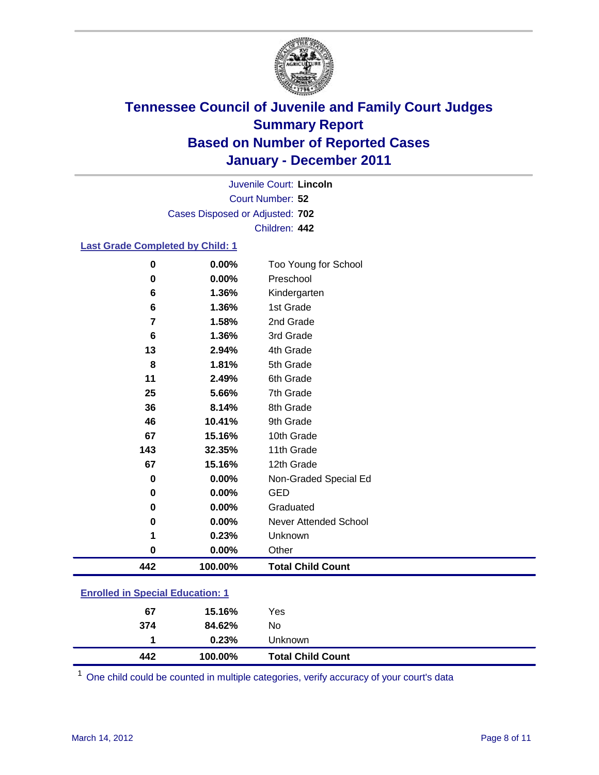

Court Number: **52** Juvenile Court: **Lincoln** Cases Disposed or Adjusted: **702** Children: **442**

### **Last Grade Completed by Child: 1**

| $\bf{0}$       | 0.00%                                   | Too Young for School         |  |  |
|----------------|-----------------------------------------|------------------------------|--|--|
| 0              | 0.00%                                   | Preschool                    |  |  |
| 6              | 1.36%                                   | Kindergarten                 |  |  |
| 6              | 1.36%                                   | 1st Grade                    |  |  |
| $\overline{7}$ | 1.58%                                   | 2nd Grade                    |  |  |
| 6              | 1.36%                                   | 3rd Grade                    |  |  |
| 13             | 2.94%                                   | 4th Grade                    |  |  |
| 8              | 1.81%                                   | 5th Grade                    |  |  |
| 11             | 2.49%                                   | 6th Grade                    |  |  |
| 25             | 5.66%                                   | 7th Grade                    |  |  |
| 36             | 8.14%                                   | 8th Grade                    |  |  |
| 46             | 10.41%                                  | 9th Grade                    |  |  |
| 67             | 15.16%                                  | 10th Grade                   |  |  |
| 143            | 32.35%                                  | 11th Grade                   |  |  |
| 67             | 15.16%                                  | 12th Grade                   |  |  |
| 0              | 0.00%                                   | Non-Graded Special Ed        |  |  |
| 0              | 0.00%                                   | <b>GED</b>                   |  |  |
| $\mathbf 0$    | 0.00%                                   | Graduated                    |  |  |
| 0              | 0.00%                                   | <b>Never Attended School</b> |  |  |
| 1              | 0.23%                                   | Unknown                      |  |  |
| $\mathbf 0$    | 0.00%                                   | Other                        |  |  |
| 442            | 100.00%                                 | <b>Total Child Count</b>     |  |  |
|                | <b>Enrolled in Special Education: 1</b> |                              |  |  |

| 442 | 100.00% | <b>Total Child Count</b> |  |
|-----|---------|--------------------------|--|
|     | 0.23%   | Unknown                  |  |
| 374 | 84.62%  | No                       |  |
| 67  | 15.16%  | Yes                      |  |
|     |         |                          |  |

One child could be counted in multiple categories, verify accuracy of your court's data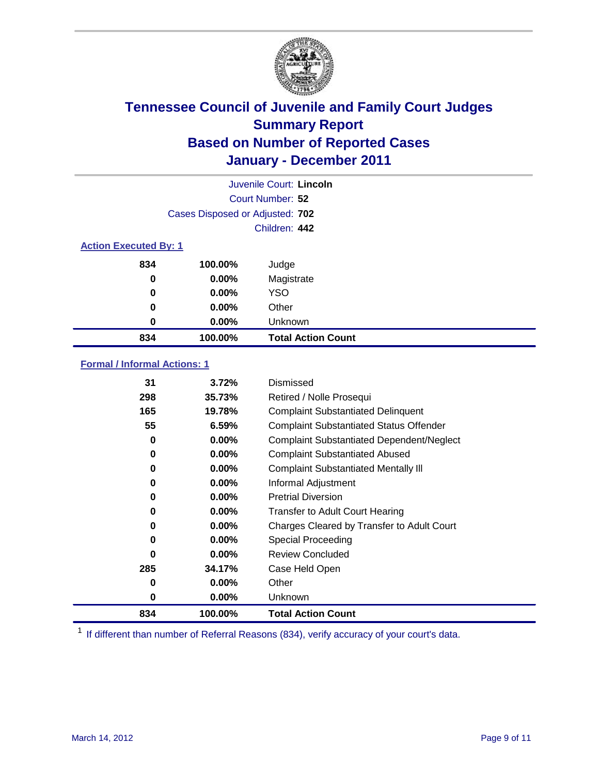

|                              | Juvenile Court: Lincoln         |                           |  |  |
|------------------------------|---------------------------------|---------------------------|--|--|
|                              | Court Number: 52                |                           |  |  |
|                              | Cases Disposed or Adjusted: 702 |                           |  |  |
|                              |                                 | Children: 442             |  |  |
| <b>Action Executed By: 1</b> |                                 |                           |  |  |
| 834                          | 100.00%                         | Judge                     |  |  |
| 0                            | $0.00\%$                        | Magistrate                |  |  |
| 0                            | $0.00\%$                        | <b>YSO</b>                |  |  |
| 0                            | 0.00%                           | Other                     |  |  |
| 0                            | 0.00%                           | Unknown                   |  |  |
| 834                          | 100.00%                         | <b>Total Action Count</b> |  |  |

### **Formal / Informal Actions: 1**

| 31  | 3.72%    | Dismissed                                        |
|-----|----------|--------------------------------------------------|
| 298 | 35.73%   | Retired / Nolle Prosequi                         |
| 165 | 19.78%   | <b>Complaint Substantiated Delinquent</b>        |
| 55  | 6.59%    | <b>Complaint Substantiated Status Offender</b>   |
| 0   | $0.00\%$ | <b>Complaint Substantiated Dependent/Neglect</b> |
| 0   | 0.00%    | <b>Complaint Substantiated Abused</b>            |
| 0   | $0.00\%$ | <b>Complaint Substantiated Mentally III</b>      |
| 0   | $0.00\%$ | Informal Adjustment                              |
| 0   | $0.00\%$ | <b>Pretrial Diversion</b>                        |
| 0   | $0.00\%$ | <b>Transfer to Adult Court Hearing</b>           |
| 0   | $0.00\%$ | Charges Cleared by Transfer to Adult Court       |
| 0   | $0.00\%$ | Special Proceeding                               |
| 0   | $0.00\%$ | <b>Review Concluded</b>                          |
| 285 | 34.17%   | Case Held Open                                   |
| 0   | $0.00\%$ | Other                                            |
| 0   | $0.00\%$ | <b>Unknown</b>                                   |
| 834 | 100.00%  | <b>Total Action Count</b>                        |

<sup>1</sup> If different than number of Referral Reasons (834), verify accuracy of your court's data.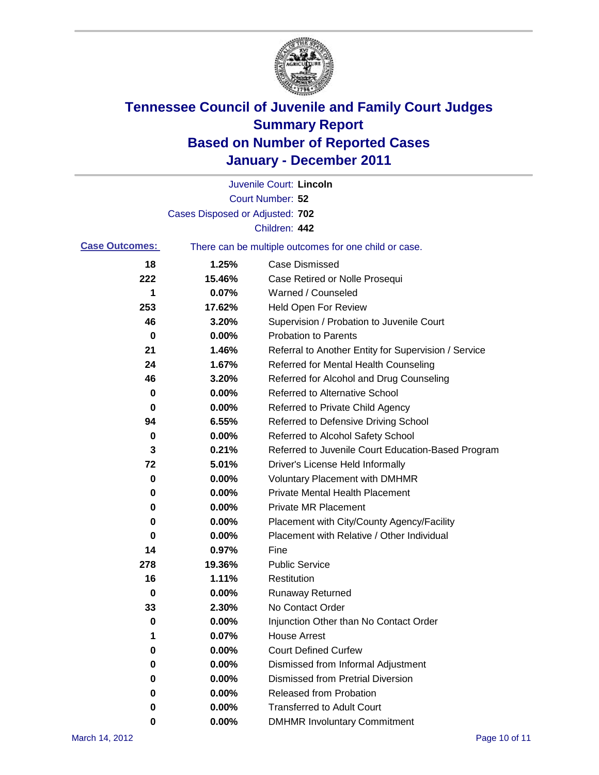

|                       |                                 | Juvenile Court: Lincoln                               |
|-----------------------|---------------------------------|-------------------------------------------------------|
|                       |                                 | Court Number: 52                                      |
|                       | Cases Disposed or Adjusted: 702 |                                                       |
|                       |                                 | Children: 442                                         |
| <b>Case Outcomes:</b> |                                 | There can be multiple outcomes for one child or case. |
| 18                    | 1.25%                           | <b>Case Dismissed</b>                                 |
| 222                   | 15.46%                          | Case Retired or Nolle Prosequi                        |
| 1                     | 0.07%                           | Warned / Counseled                                    |
| 253                   | 17.62%                          | <b>Held Open For Review</b>                           |
| 46                    | 3.20%                           | Supervision / Probation to Juvenile Court             |
| 0                     | 0.00%                           | <b>Probation to Parents</b>                           |
| 21                    | 1.46%                           | Referral to Another Entity for Supervision / Service  |
| 24                    | 1.67%                           | Referred for Mental Health Counseling                 |
| 46                    | 3.20%                           | Referred for Alcohol and Drug Counseling              |
| 0                     | 0.00%                           | <b>Referred to Alternative School</b>                 |
| 0                     | 0.00%                           | Referred to Private Child Agency                      |
| 94                    | 6.55%                           | Referred to Defensive Driving School                  |
| 0                     | 0.00%                           | Referred to Alcohol Safety School                     |
| 3                     | 0.21%                           | Referred to Juvenile Court Education-Based Program    |
| 72                    | 5.01%                           | Driver's License Held Informally                      |
| 0                     | 0.00%                           | <b>Voluntary Placement with DMHMR</b>                 |
| 0                     | 0.00%                           | <b>Private Mental Health Placement</b>                |
| 0                     | 0.00%                           | <b>Private MR Placement</b>                           |
| 0                     | 0.00%                           | Placement with City/County Agency/Facility            |
| 0                     | 0.00%                           | Placement with Relative / Other Individual            |
| 14                    | 0.97%                           | Fine                                                  |
| 278                   | 19.36%                          | <b>Public Service</b>                                 |
| 16                    | 1.11%                           | Restitution                                           |
| 0                     | 0.00%                           | <b>Runaway Returned</b>                               |
| 33                    | 2.30%                           | No Contact Order                                      |
| 0                     | 0.00%                           | Injunction Other than No Contact Order                |
| 1                     | 0.07%                           | <b>House Arrest</b>                                   |
| 0                     | 0.00%                           | <b>Court Defined Curfew</b>                           |
| 0                     | 0.00%                           | Dismissed from Informal Adjustment                    |
| 0                     | 0.00%                           | <b>Dismissed from Pretrial Diversion</b>              |
| 0                     | 0.00%                           | Released from Probation                               |
| 0                     | 0.00%                           | <b>Transferred to Adult Court</b>                     |
| 0                     | $0.00\%$                        | <b>DMHMR Involuntary Commitment</b>                   |